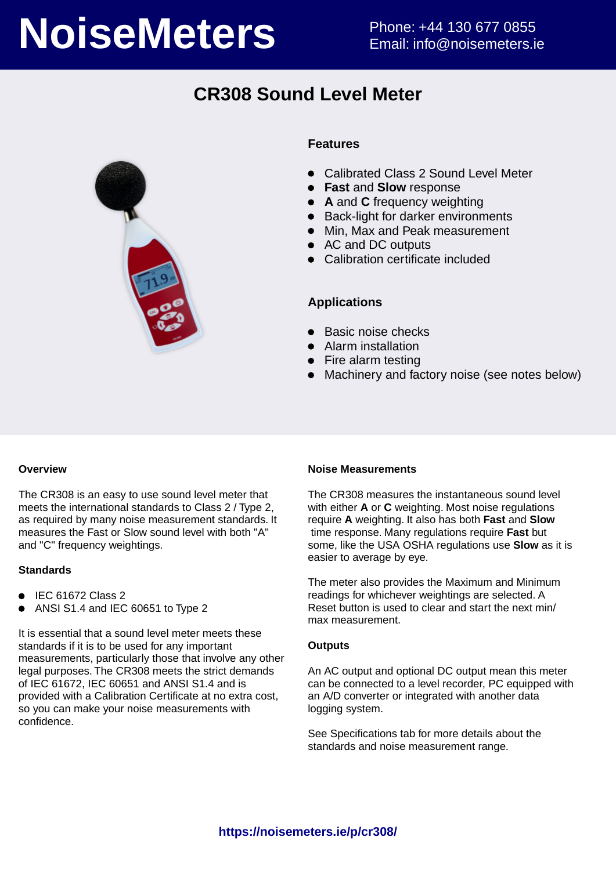# **NoiseMeters** Phone: +44 130 677 0855

# **CR308 Sound Level Meter**



#### **Features**

- Calibrated Class 2 Sound Level Meter
- **Fast** and **Slow** response
- **A** and **C** frequency weighting
- Back-light for darker environments
- Min, Max and Peak measurement
- AC and DC outputs
- Calibration certificate included

#### **Applications**

- Basic noise checks
- Alarm installation
- Fire alarm testing
- Machinery and factory noise (see notes below)

#### **Overview**

The CR308 is an easy to use sound level meter that meets the international standards to Class 2 / Type 2, as required by many noise measurement standards. It measures the Fast or Slow sound level with both "A" and "C" frequency weightings.

#### **Standards**

- $\bullet$  IEC 61672 Class 2
- ANSI S1.4 and IEC 60651 to Type 2

It is essential that a sound level meter meets these standards if it is to be used for any important measurements, particularly those that involve any other legal purposes. The CR308 meets the strict demands of IEC 61672, IEC 60651 and ANSI S1.4 and is provided with a Calibration Certificate at no extra cost, so you can make your noise measurements with confidence.

#### **Noise Measurements**

The CR308 measures the instantaneous sound level with either **A** or **C** weighting. Most noise regulations require **A** weighting. It also has both **Fast** and **Slow** time response. Many regulations require **Fast** but some, like the USA OSHA regulations use **Slow** as it is easier to average by eye.

The meter also provides the Maximum and Minimum readings for whichever weightings are selected. A Reset button is used to clear and start the next min/ max measurement.

#### **Outputs**

An AC output and optional DC output mean this meter can be connected to a level recorder, PC equipped with an A/D converter or integrated with another data logging system.

See Specifications tab for more details about the standards and noise measurement range.